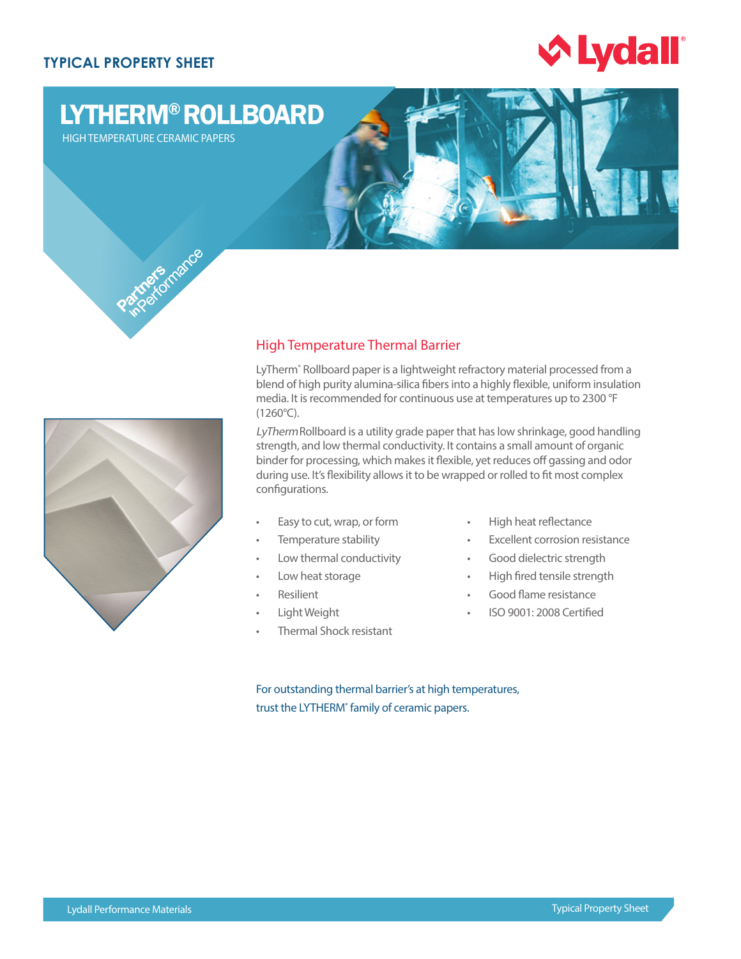## **TYPICAL PROPERTY SHEET**



# LYTHERM® ROLLBOARD

HIGH TEMPERATURE CERAMIC PAPERS





# High Temperature Thermal Barrier

LyTherm<sup>®</sup> Rollboard paper is a lightweight refractory material processed from a blend of high purity alumina-silica fibers into a highly flexible, uniform insulation media. It is recommended for continuous use at temperatures up to 2300 °F (1260°C).

LyThermRollboard is a utility grade paper that has low shrinkage, good handling strength, and low thermal conductivity. It contains a small amount of organic binder for processing, which makes it flexible, yet reduces off gassing and odor during use. It's flexibility allows it to be wrapped or rolled to fit most complex configurations.

- Easy to cut, wrap, or form
- Temperature stability
- Low thermal conductivity
- Low heat storage
- **Resilient**
- Light Weight
- Thermal Shock resistant
- High heat reflectance
- **Excellent corrosion resistance**
- Good dielectric strength
- High fired tensile strength
- Good flame resistance
- ISO 9001: 2008 Certified

For outstanding thermal barrier's at high temperatures, trust the LYTHERM<sup>®</sup> family of ceramic papers.